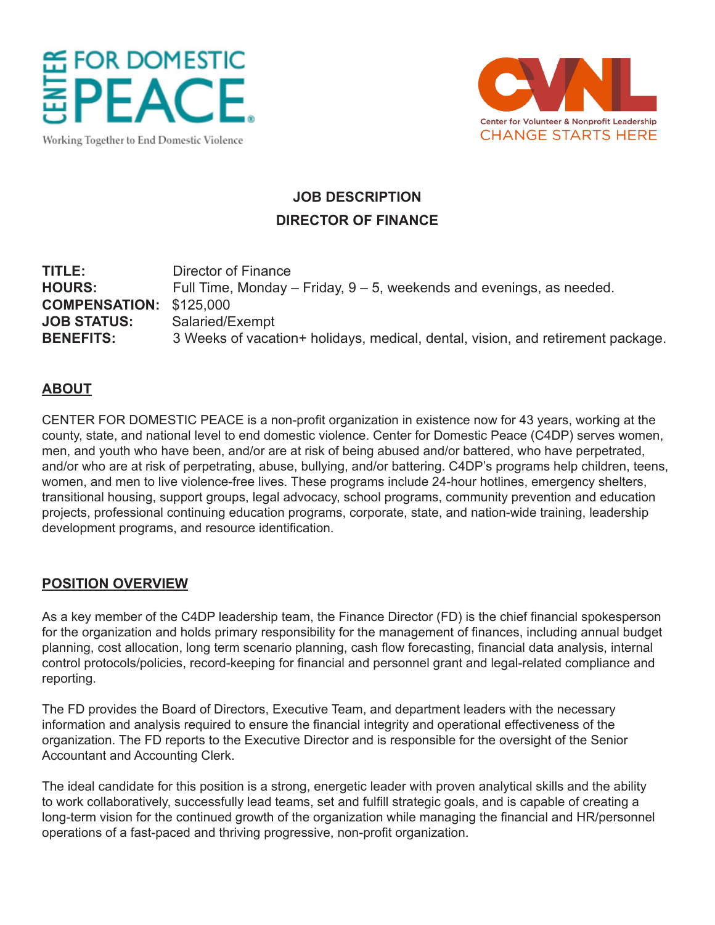



Working Together to End Domestic Violence

# **JOB DESCRIPTION DIRECTOR OF FINANCE**

# **TITLE:** Director of Finance **HOURS:** Full Time, Monday – Friday, 9 – 5, weekends and evenings, as needed. **COMPENSATION:** \$125,000 **JOB STATUS:** Salaried/Exempt **BENEFITS:** 3 Weeks of vacation+ holidays, medical, dental, vision, and retirement package.

## **ABOUT**

CENTER FOR DOMESTIC PEACE is a non-profit organization in existence now for 43 years, working at the county, state, and national level to end domestic violence. Center for Domestic Peace (C4DP) serves women, men, and youth who have been, and/or are at risk of being abused and/or battered, who have perpetrated, and/or who are at risk of perpetrating, abuse, bullying, and/or battering. C4DP's programs help children, teens, women, and men to live violence-free lives. These programs include 24-hour hotlines, emergency shelters, transitional housing, support groups, legal advocacy, school programs, community prevention and education projects, professional continuing education programs, corporate, state, and nation-wide training, leadership development programs, and resource identification.

#### **POSITION OVERVIEW**

As a key member of the C4DP leadership team, the Finance Director (FD) is the chief financial spokesperson for the organization and holds primary responsibility for the management of finances, including annual budget planning, cost allocation, long term scenario planning, cash flow forecasting, financial data analysis, internal control protocols/policies, record-keeping for financial and personnel grant and legal-related compliance and reporting.

The FD provides the Board of Directors, Executive Team, and department leaders with the necessary information and analysis required to ensure the financial integrity and operational effectiveness of the organization. The FD reports to the Executive Director and is responsible for the oversight of the Senior Accountant and Accounting Clerk.

The ideal candidate for this position is a strong, energetic leader with proven analytical skills and the ability to work collaboratively, successfully lead teams, set and fulfill strategic goals, and is capable of creating a long-term vision for the continued growth of the organization while managing the financial and HR/personnel operations of a fast-paced and thriving progressive, non-profit organization.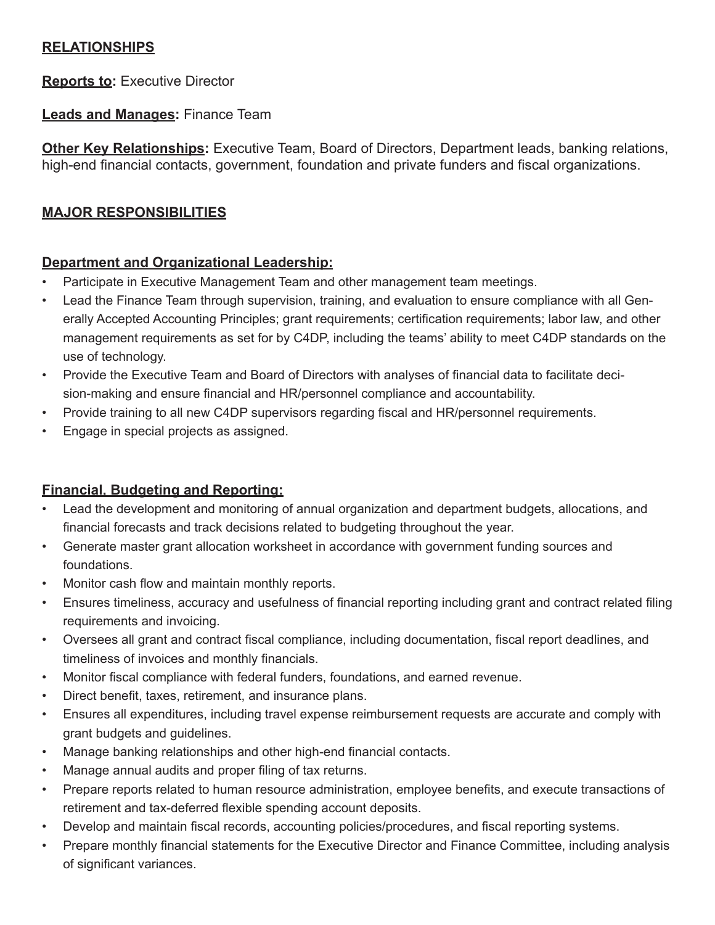## **RELATIONSHIPS**

**Reports to:** Executive Director

## **Leads and Manages:** Finance Team

**Other Key Relationships:** Executive Team, Board of Directors, Department leads, banking relations, high-end financial contacts, government, foundation and private funders and fiscal organizations.

# **MAJOR RESPONSIBILITIES**

## **Department and Organizational Leadership:**

- Participate in Executive Management Team and other management team meetings.
- Lead the Finance Team through supervision, training, and evaluation to ensure compliance with all Generally Accepted Accounting Principles; grant requirements; certification requirements; labor law, and other management requirements as set for by C4DP, including the teams' ability to meet C4DP standards on the use of technology.
- Provide the Executive Team and Board of Directors with analyses of financial data to facilitate decision-making and ensure financial and HR/personnel compliance and accountability.
- Provide training to all new C4DP supervisors regarding fiscal and HR/personnel requirements.
- Engage in special projects as assigned.

# **Financial, Budgeting and Reporting:**

- Lead the development and monitoring of annual organization and department budgets, allocations, and financial forecasts and track decisions related to budgeting throughout the year.
- Generate master grant allocation worksheet in accordance with government funding sources and foundations.
- Monitor cash flow and maintain monthly reports.
- Ensures timeliness, accuracy and usefulness of financial reporting including grant and contract related filing requirements and invoicing.
- Oversees all grant and contract fiscal compliance, including documentation, fiscal report deadlines, and timeliness of invoices and monthly financials.
- Monitor fiscal compliance with federal funders, foundations, and earned revenue.
- Direct benefit, taxes, retirement, and insurance plans.
- Ensures all expenditures, including travel expense reimbursement requests are accurate and comply with grant budgets and guidelines.
- Manage banking relationships and other high-end financial contacts.
- Manage annual audits and proper filing of tax returns.
- Prepare reports related to human resource administration, employee benefits, and execute transactions of retirement and tax-deferred flexible spending account deposits.
- Develop and maintain fiscal records, accounting policies/procedures, and fiscal reporting systems.
- Prepare monthly financial statements for the Executive Director and Finance Committee, including analysis of significant variances.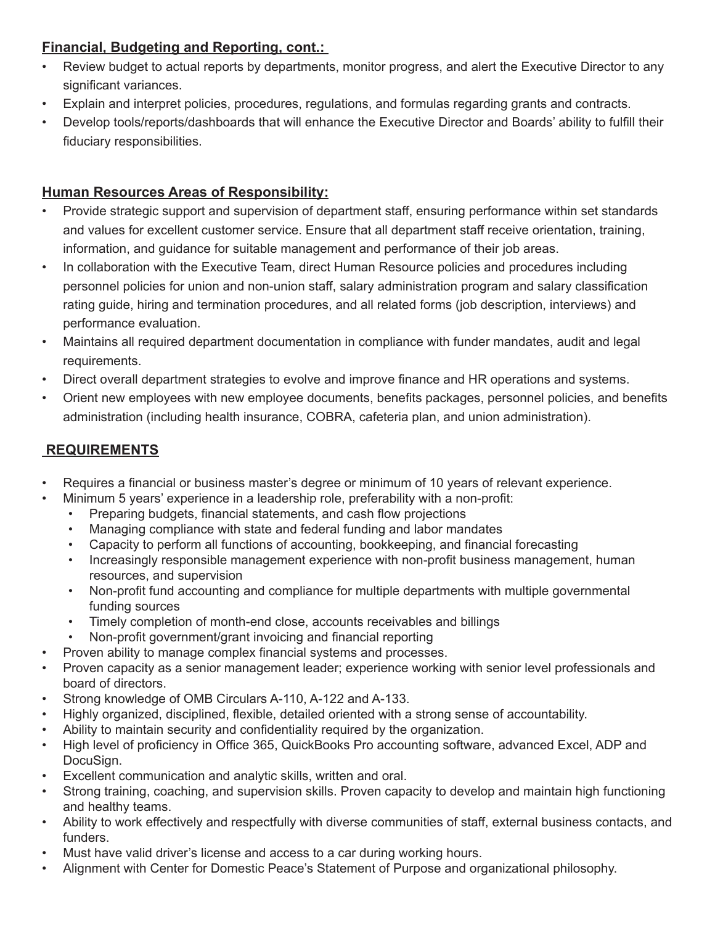## **Financial, Budgeting and Reporting, cont.:**

- Review budget to actual reports by departments, monitor progress, and alert the Executive Director to any significant variances.
- Explain and interpret policies, procedures, regulations, and formulas regarding grants and contracts.
- Develop tools/reports/dashboards that will enhance the Executive Director and Boards' ability to fulfill their fiduciary responsibilities.

## **Human Resources Areas of Responsibility:**

- Provide strategic support and supervision of department staff, ensuring performance within set standards and values for excellent customer service. Ensure that all department staff receive orientation, training, information, and guidance for suitable management and performance of their job areas.
- In collaboration with the Executive Team, direct Human Resource policies and procedures including personnel policies for union and non-union staff, salary administration program and salary classification rating guide, hiring and termination procedures, and all related forms (job description, interviews) and performance evaluation.
- Maintains all required department documentation in compliance with funder mandates, audit and legal requirements.
- Direct overall department strategies to evolve and improve finance and HR operations and systems.
- Orient new employees with new employee documents, benefits packages, personnel policies, and benefits administration (including health insurance, COBRA, cafeteria plan, and union administration).

## **REQUIREMENTS**

- Requires a financial or business master's degree or minimum of 10 years of relevant experience.
- Minimum 5 years' experience in a leadership role, preferability with a non-profit:
	- Preparing budgets, financial statements, and cash flow projections
	- Managing compliance with state and federal funding and labor mandates
	- Capacity to perform all functions of accounting, bookkeeping, and financial forecasting
	- Increasingly responsible management experience with non-profit business management, human resources, and supervision
	- Non-profit fund accounting and compliance for multiple departments with multiple governmental funding sources
	- Timely completion of month-end close, accounts receivables and billings
	- Non-profit government/grant invoicing and financial reporting
- Proven ability to manage complex financial systems and processes.
- Proven capacity as a senior management leader; experience working with senior level professionals and board of directors.
- Strong knowledge of OMB Circulars A-110, A-122 and A-133.
- Highly organized, disciplined, flexible, detailed oriented with a strong sense of accountability.
- Ability to maintain security and confidentiality required by the organization.
- High level of proficiency in Office 365, QuickBooks Pro accounting software, advanced Excel, ADP and DocuSign.
- Excellent communication and analytic skills, written and oral.
- Strong training, coaching, and supervision skills. Proven capacity to develop and maintain high functioning and healthy teams.
- Ability to work effectively and respectfully with diverse communities of staff, external business contacts, and funders.
- Must have valid driver's license and access to a car during working hours.
- Alignment with Center for Domestic Peace's Statement of Purpose and organizational philosophy.